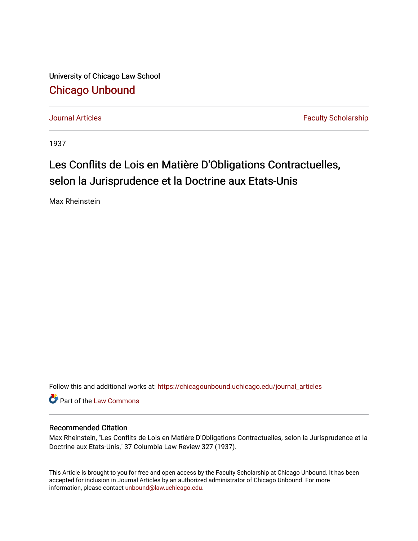University of Chicago Law School [Chicago Unbound](https://chicagounbound.uchicago.edu/)

[Journal Articles](https://chicagounbound.uchicago.edu/journal_articles) **Faculty Scholarship Journal Articles** 

1937

## Les Conflits de Lois en Matière D'Obligations Contractuelles, selon la Jurisprudence et la Doctrine aux Etats-Unis

Max Rheinstein

Follow this and additional works at: [https://chicagounbound.uchicago.edu/journal\\_articles](https://chicagounbound.uchicago.edu/journal_articles?utm_source=chicagounbound.uchicago.edu%2Fjournal_articles%2F9233&utm_medium=PDF&utm_campaign=PDFCoverPages) 

Part of the [Law Commons](http://network.bepress.com/hgg/discipline/578?utm_source=chicagounbound.uchicago.edu%2Fjournal_articles%2F9233&utm_medium=PDF&utm_campaign=PDFCoverPages)

## Recommended Citation

Max Rheinstein, "Les Conflits de Lois en Matière D'Obligations Contractuelles, selon la Jurisprudence et la Doctrine aux Etats-Unis," 37 Columbia Law Review 327 (1937).

This Article is brought to you for free and open access by the Faculty Scholarship at Chicago Unbound. It has been accepted for inclusion in Journal Articles by an authorized administrator of Chicago Unbound. For more information, please contact [unbound@law.uchicago.edu](mailto:unbound@law.uchicago.edu).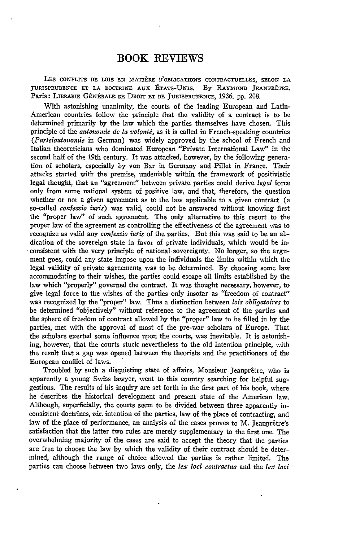## BOOK REVIEWS

LEs CONFLITS DE LOIS EN MATIkRE D'OBLIGATIONS CONTRACTUELLES, **SELON** LA JURISPRUDENCE ET LA DOCTRINE AUX ÉTATS-UNIS. By RAYMOND JEANPRÊTRE. Paris: LIBRARIE GÉNÉRALE DE DROIT ET DE JURISPRUDENCE, 1936. pp. 208.

With astonishing unanimity, the courts of the leading European and Latin-American countries follow the principle that the validity of a contract is to be determined primarily **by** the law which the parties themselves have chosen. This principle of the *autonomie de la volonti,* as it is called in French-speaking countries *(Parteiautonomie in German)* was widely approved by the school of French and Italian theoreticians who dominated European "Private International Law" in the second half of the 19th century. It was attacked, however, **by** the following generation of scholars, especially by von Bar in Germany and Pillet in France. Their attacks started with the premise, undeniable within the framework of positivistic legal thought, that an "agreement" between private parties could derive *legal* force only from some national system of positive law, and that, therefore, the question whether or not a given agreement as to the law applicable to a given contract (a so-called *confessio iuris*) was valid, could not be answered without knowing first the "proper law" of such agreement. The only alternative to this resort to the proper law of the agreement as controlling the effectiveness of the agreement was to recognize as valid any *confessio iuris* of the parties. But this was said to be an abdication of the sovereign state in favor of private individuals, which would be in- 'consistent with the very principle of national sovereignty. No longer, so the argument goes, could any state impose upon the individuals the limits within which the legal validity of private agreements was to be determined. **By** choosing some law accommodating to their wishes, the parties could escape all limits established **by** the law which "properly" governed the contract. It was thought necessary, however, to give legal force to the wishes of the parties only insofar as "freedom of contract" was recognized **by** the "proper" law. Thus a distinction between *lois obligatoires* to be determined "objectively" without reference to the agreement of the parties and the sphere of freedom of contract allowed **by** the "proper" law to be filled in **by** the parties, met with the approval of most of the pre-war scholars of Europe. That the scholars exerted some influence upon the courts, was inevitable. It is astonishing, however, that the courts stuck nevertheless to the old intention principle, with the result that a gap was opened between the theorists and the practitioners of the European conflict of laws.

Troubled by such a disquieting state of affairs, Monsieur Jeanprêtre, who is apparently a young Swiss lawyer, went to this country searching for helpful suggestions. The results of his inquiry are set forth in the first part of his book, where he describes the historical development and present state of the American law. Although, superficially, the courts seem to be divided between three apparently inconsistent doctrines, *viz.* intention of the parties, law of the place of contracting, and law of the place of performance, an analysis of the cases proves to  $M$ . Jeanprêtre's satisfaction that the latter two rules are merely supplementary to the first one. The overwhelming majority of the cases are said to accept the theory that the parties are free to choose the law **by** which the validity of their contract should be determined, although the range of choice allowed the parties is rather limited. The parties can choose between two laws only, the *lex loci contracthis* and the *lex loci*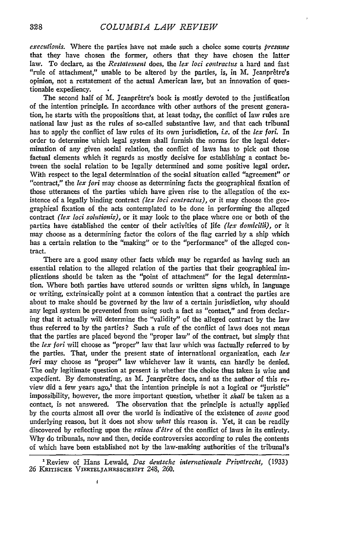*executionis.* Where the parties have not made such a choice some courts *presmne* that they have chosen the former, others that they have chosen the latter law. To declare, as the *Restatement* does, the *lex loci contractts* a hard and fast "rule of attachment," unable to be altered by the parties, is, in  $M$ . Jeanprêtre's opinion, not a restatement of the actual American law, but an innovation of questionable expediency.

The second half of M. Jeanprêtre's book is mostly devoted to the justification of the intention principle. In accordance with other authors of the present generation, he starts with the propositions that, at least today, the conflict of law rules are national law just as the rules of so-called substantive law, and that each tribunal has to apply the conflict of law rules of its own jurisdiction, *i.e.* of the *lex fori*. In order to determine which legal system shall furnish the norms for the legal determination of any given social relation, the conflict of laws has to pick out those factual elements which it regards as mostly decisive for establishing a contact between the social relation to be legally determined and some positive legal order. With respect to the legal determination of the social situation called "agreement" or "contract," the *lex fori* may choose as determining facts the geographical fixation of those utterances of the parties which have given rise to the allegation of the existence of a legally binding contract *(lez foci contractus),* or it may choose the geographical fixation of the acts contemplated to be done in performing the alleged contract *(fez loci solutionis),* or it may look to the place where one or both of the parties have established the center of their activities of life *(lex domicilii)*, or it may choose as a determining factor the colors of the flag carried by a ship which has a certain relation to the "making" or to the "performance" of the alleged contract.

There are a good many other facts which may be regarded as having such an essential relation to the alleged relation of the parties that their geographical implications should be taken as the "point of attachment" for the legal determination. Where both parties have uttered sounds or written signs which, in language or writing, extrinsically point at a common intention that a contract the parties are about to make should be governed by the law of a certain jurisdiction, why should any legal system be prevented from using such a fact as "contact," and from declaring that it actually will determine the "validity" of the alleged contract by the law thus referred to by the parties? Such a rule of the conflict of laws does not mean that the parties are placed beyond the "proper law" of the contract, but simply that the *lez fori* will choose as "proper" law that law which was factually referred to by the parties. That, under the present state of international organization, each  $lex$ *fori* may choose as "proper" law whichever law it wants, can hardly be denied. The only legitimate question at present is whether the choice thus taken is wise and expedient. By demonstrating, as M. Jeanprêtre does, and as the author of this review did a few years ago,' that the intention principle is not a logical or "juristic" impossibility, however, the more important question, whether it *shall* be taken as a contact, is not answered. The observation that the principle is actually applied by the courts almost all over the world is indicative of the existence of *sonie* good underlying reason, but it does not show *what* this reason is. Yet, it can be readily discovered by reflecting upon the *raison d'etre* of the conflict of laws in its entirety. Why do tribunals, now and then, decide controversies according to rules the contents of which have been established not by the law-making authorities of the tribunal's

ţ

<sup>&#</sup>x27;Review of Hans Lewald, *Das deutsche internationale Privatrecht,* (1933) 26 KRITISCHE **VIERrELJAHRSSCHRIFT** 248, 260.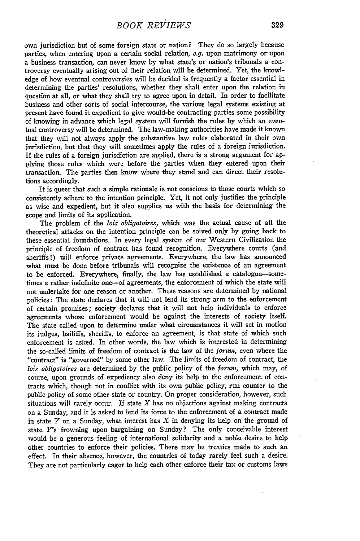own jurisdiction but of some foreign state or nation? They do so largely because parties, when entering upon a certain social relation, e.g. upon matrimony or upon a business transaction, can never know by what state's or nation's tribunals a controversy eventually arising out of their relation will be determined. Yet, the knowledge of how eventual controversies will be decided is frequently a factor essential in determining the parties' resolutions, whether they shall enter upon the relation in question at all, or what they shall try to agree upon in detail. In order to facilitate business and other sorts of social intercourse, the various legal systems existing at present have found it expedient to give would-be contracting parties some possibility of knowing in advance which legal system will furnish the rules by which an eventual controversy will be determined. The law-making authorities have made it known that they will not always apply the substantive law rules elaborated in their own jurisdiction, but that they will sometimes apply the rules of a foreign jurisdiction. If the rules of a foreign jurisdiction are applied, there is a strong argument for applying those rules which were before the parties when they entered upon their transaction. The parties then know where they stand and can direct their resolutions accordingly.

It is queer that such a simple rationale is not conscious to those courts which so consistently adhere to the intention principle. Yet, it not only justifies the principle as wise and expedient, but it also supplies us with the basis for determining the scope and limits of its application.

The problem of the *lois obligatoires,* which was the actual cause of all the theoretical attacks on the intention principle can be solved only by going back to these essential foundations. In every legal system of our Western Civilization the principle of freedom of contract has found recognition. Everywhere courts (and sheriffs l) will enforce private agreements. Everywhere, the law has announced what must be done before tribunals will recognize the existence of an agreement to be enforced. Everywhere, finally, the law has established a catalogue-sometimes a rather indefinite one—of agreements, the enforcement of which the state will not undertake for one reason or another. These reasons are determined by national policies: The state declares that it will not lend its strong arm to the enforcement of certain promises; society declares that it will not help individuals to enforce agreements whose enforcement would be against the interests of society itself. The state called upon to determine under what circumstances it will set in motion its judges, bailiffs, sheriffs, to enforce an agreement, is that state of which such enforcement is asked. In other words, the law which is interested in determining the so-called limits of freedom of contract is the law of the *forum,* even where the "contract" is "governed" by some other law. The limits of freedom of contract, the *lois obligatoires* are determined **by** the public policy of the *forim,* which may, of course, upon grounds of expediency also deny its help to the enforcement of contracts which, though not in conflict with its own public policy, run counter to the public policy of some other state or country. On proper consideration, however, such situations will rarely occur. **If** state X has no objections against making contracts on a Sunday, and it is asked to lend its force to the enforcement of a contract made in state *Y* on a Sunday, what interest has X in denying its help on the ground of state *Y's* frowning upon bargaining on Sunday? The only conceivable interest would be a generous feeling of international solidarity and a noble desire to help other countries to enforce their policies. There may be treaties made to such an effect. In their absence, however, the countries of today rarely feel such a desire. They are not particularly eager to help each other enforce their tax or customs laws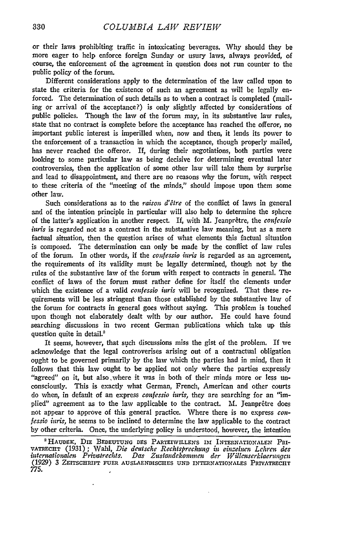or their laws prohibiting traffic in intoxicating beverages. Why should they be more eager to help enforce foreign Sunday or usury laws, always provided, of course, the enforcement of the agreement in question does not run counter to the public policy of the forum.

Different considerations apply to the determination of the law called upon to state the criteria for the existence of such an agreement as will be legally enforced. The determination of such details as to when a contract is completed (mailing or arrival of the acceptance?) is only slightly affected by considerations of public policies. Though the law of the forum may, in its substantive law rules, state that no contract is complete before the acceptance has reached the offeror, no important public interest is imperilled when, now and then, it lends its power to the enforcement of a transaction in which the acceptance, though properly mailed, has never reached the offeror. If, during their negotiations, both parties were looking to some particular law as being decisive for determining eventual later controversies, then the application of some other law will take them by surprise and lead to disappointment, and there are no reasons why the forum, with respect to these criteria of the "meeting of the minds," should impose upon them some other law.

Such considerations as to the *raison d'être* of the conflict of laws in general and of the intention principle in particular will also help to determine the sphere of the latter's application in another respect. If, with M. Jeanprêtre, the *confessio iuris* is regarded not as a contract in the substantive law meaning, but as a mere factual situation, then the question arises of what elements this factual situation is composed. The determination can only be made by the conflict of law rules of the forum. In other words, if the *confessio iuris* is regarded as an agreement, the requirements of its validity must be legally determined, though not by the rules of the substantive law of the forum with respect to contracts in general. The conflict of laws of the forum must rather define for itself the elements under which the existence of a valid *confessio* inris will be recognized. That these requirements will be less stringent than those established by the substantive law of the forum for contracts in general goes without saying. This problem is touched upon though not elaborately dealt with by our author. He could have found searching discussions in two recent German publications which take up this question quite in detail.<sup>2</sup>

It seems, however, that such discussions miss the gist of the problem. If we acknowledge that the legal controverises arising out of a contractual obligation ovght to be governed primarily by the law which the parties had in mind, then it follows that this law ought to be applied not only where the parties expressly "agreed" on it, but also where it was in both of their minds more or less unconsciously. This is exactly what German, French, American and other courts do when, in default of an express *confessio inris,* they are searching for an "implied" agreement as to the law applicable to the contract. M. Jeanprêtre does not appear to approve of this general practice. Where there is no express *confessio iuris*, he seems to be inclined to determine the law applicable to the contract by other criteria. Once, the underlying policy is understood, however, the intention

<sup>2</sup> HAUDEK, DIE BEDEUTUNG DES PARTEIWILLENS IM INTERNATIONALEN PRI-**VATRECHT** (1931) ; Wahl, *Die deutsche Rechtspreclung in einclehwn Lehren des intentationalen Privatrechts. Das Ztsftandekoininen der Willenserklaerungcn* **(1929) 3 ZFITSCmUFT FUER AUSLAENDISCHES UND INTERNATIONALES PRIVATRECHT** *775.*

×